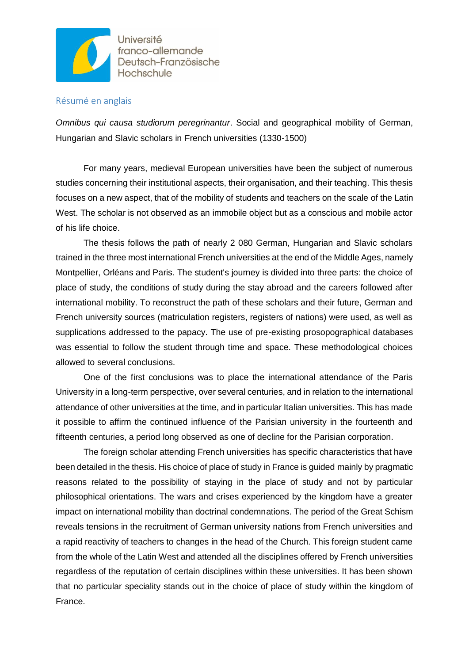

Université franco-allemande Deutsch-Französische Hochschule

## Résumé en anglais

*Omnibus qui causa studiorum peregrinantur*. Social and geographical mobility of German, Hungarian and Slavic scholars in French universities (1330-1500)

For many years, medieval European universities have been the subject of numerous studies concerning their institutional aspects, their organisation, and their teaching. This thesis focuses on a new aspect, that of the mobility of students and teachers on the scale of the Latin West. The scholar is not observed as an immobile object but as a conscious and mobile actor of his life choice.

The thesis follows the path of nearly 2 080 German, Hungarian and Slavic scholars trained in the three most international French universities at the end of the Middle Ages, namely Montpellier, Orléans and Paris. The student's journey is divided into three parts: the choice of place of study, the conditions of study during the stay abroad and the careers followed after international mobility. To reconstruct the path of these scholars and their future, German and French university sources (matriculation registers, registers of nations) were used, as well as supplications addressed to the papacy. The use of pre-existing prosopographical databases was essential to follow the student through time and space. These methodological choices allowed to several conclusions.

One of the first conclusions was to place the international attendance of the Paris University in a long-term perspective, over several centuries, and in relation to the international attendance of other universities at the time, and in particular Italian universities. This has made it possible to affirm the continued influence of the Parisian university in the fourteenth and fifteenth centuries, a period long observed as one of decline for the Parisian corporation.

The foreign scholar attending French universities has specific characteristics that have been detailed in the thesis. His choice of place of study in France is guided mainly by pragmatic reasons related to the possibility of staying in the place of study and not by particular philosophical orientations. The wars and crises experienced by the kingdom have a greater impact on international mobility than doctrinal condemnations. The period of the Great Schism reveals tensions in the recruitment of German university nations from French universities and a rapid reactivity of teachers to changes in the head of the Church. This foreign student came from the whole of the Latin West and attended all the disciplines offered by French universities regardless of the reputation of certain disciplines within these universities. It has been shown that no particular speciality stands out in the choice of place of study within the kingdom of France.